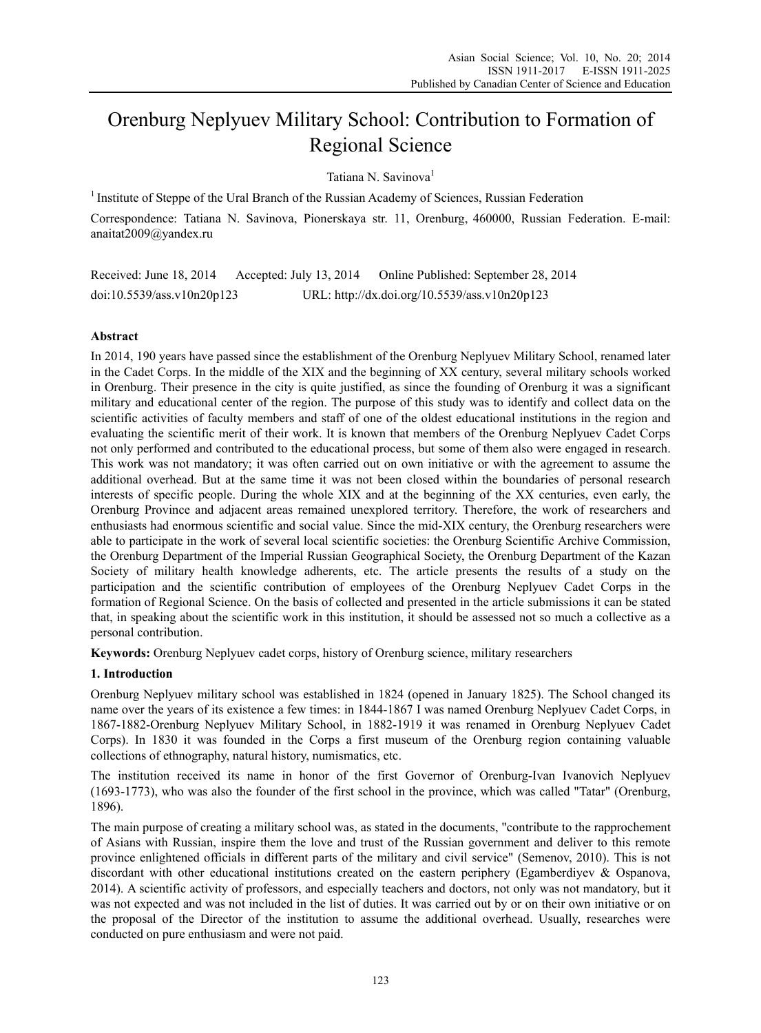# Orenburg Neplyuev Military School: Contribution to Formation of Regional Science

Tatiana N. Savinova<sup>1</sup>

<sup>1</sup> Institute of Steppe of the Ural Branch of the Russian Academy of Sciences, Russian Federation

Correspondence: Tatiana N. Savinova, Pionerskaya str. 11, Orenburg, 460000, Russian Federation. E-mail: anaitat2009@yandex.ru

Received: June 18, 2014 Accepted: July 13, 2014 Online Published: September 28, 2014 doi:10.5539/ass.v10n20p123 URL: http://dx.doi.org/10.5539/ass.v10n20p123

# **Abstract**

In 2014, 190 years have passed since the establishment of the Orenburg Neplyuev Military School, renamed later in the Cadet Corps. In the middle of the XIX and the beginning of XX century, several military schools worked in Orenburg. Their presence in the city is quite justified, as since the founding of Orenburg it was a significant military and educational center of the region. The purpose of this study was to identify and collect data on the scientific activities of faculty members and staff of one of the oldest educational institutions in the region and evaluating the scientific merit of their work. It is known that members of the Orenburg Neplyuev Cadet Corps not only performed and contributed to the educational process, but some of them also were engaged in research. This work was not mandatory; it was often carried out on own initiative or with the agreement to assume the additional overhead. But at the same time it was not been closed within the boundaries of personal research interests of specific people. During the whole XIX and at the beginning of the XX centuries, even early, the Orenburg Province and adjacent areas remained unexplored territory. Therefore, the work of researchers and enthusiasts had enormous scientific and social value. Since the mid-XIX century, the Orenburg researchers were able to participate in the work of several local scientific societies: the Orenburg Scientific Archive Commission, the Orenburg Department of the Imperial Russian Geographical Society, the Orenburg Department of the Kazan Society of military health knowledge adherents, etc. The article presents the results of a study on the participation and the scientific contribution of employees of the Orenburg Neplyuev Cadet Corps in the formation of Regional Science. On the basis of collected and presented in the article submissions it can be stated that, in speaking about the scientific work in this institution, it should be assessed not so much a collective as a personal contribution.

**Keywords:** Orenburg Neplyuev cadet corps, history of Orenburg science, military researchers

# **1. Introduction**

Orenburg Neplyuev military school was established in 1824 (opened in January 1825). The School changed its name over the years of its existence a few times: in 1844-1867 I was named Orenburg Neplyuev Cadet Corps, in 1867-1882-Orenburg Neplyuev Military School, in 1882-1919 it was renamed in Orenburg Neplyuev Cadet Corps). In 1830 it was founded in the Corps a first museum of the Orenburg region containing valuable collections of ethnography, natural history, numismatics, etc.

The institution received its name in honor of the first Governor of Orenburg-Ivan Ivanovich Neplyuev (1693-1773), who was also the founder of the first school in the province, which was called "Tatar" (Orenburg, 1896).

The main purpose of creating a military school was, as stated in the documents, "contribute to the rapprochement of Asians with Russian, inspire them the love and trust of the Russian government and deliver to this remote province enlightened officials in different parts of the military and civil service" (Semenov, 2010). This is not discordant with other educational institutions created on the eastern periphery (Egamberdiyev & Ospanova, 2014). A scientific activity of professors, and especially teachers and doctors, not only was not mandatory, but it was not expected and was not included in the list of duties. It was carried out by or on their own initiative or on the proposal of the Director of the institution to assume the additional overhead. Usually, researches were conducted on pure enthusiasm and were not paid.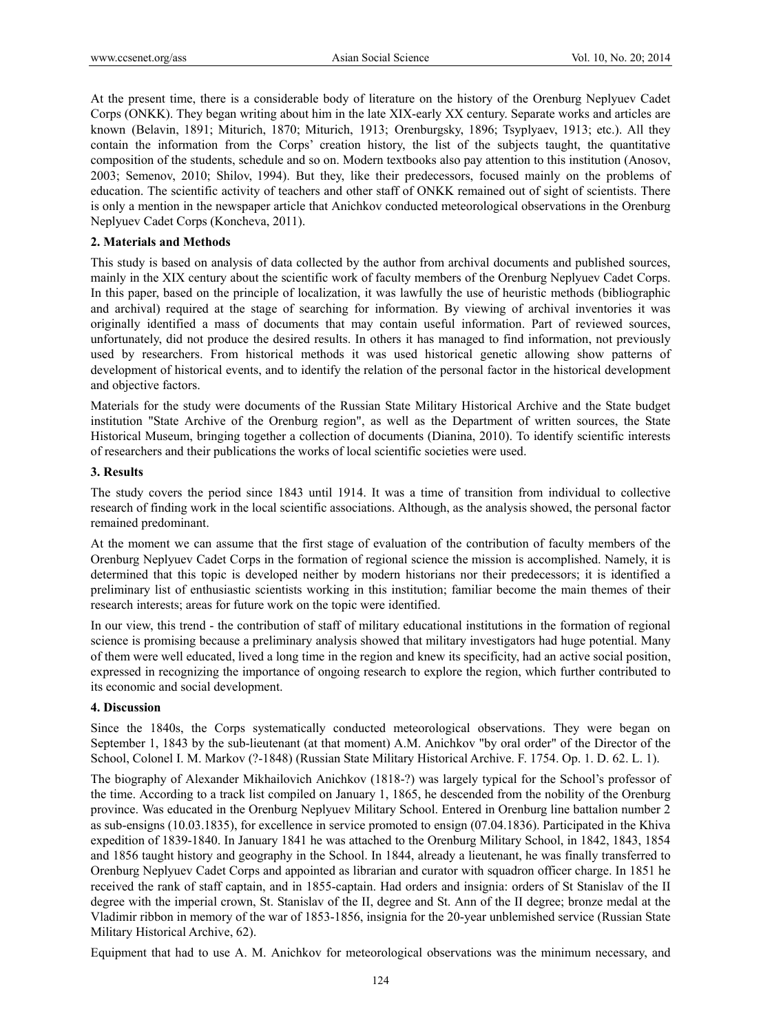At the present time, there is a considerable body of literature on the history of the Orenburg Neplyuev Cadet Corps (ONKK). They began writing about him in the late XIX-early XX century. Separate works and articles are known (Belavin, 1891; Miturich, 1870; Miturich, 1913; Orenburgsky, 1896; Tsyplyaev, 1913; etc.). All they contain the information from the Corps' creation history, the list of the subjects taught, the quantitative composition of the students, schedule and so on. Modern textbooks also pay attention to this institution (Anosov, 2003; Semenov, 2010; Shilov, 1994). But they, like their predecessors, focused mainly on the problems of education. The scientific activity of teachers and other staff of ONKK remained out of sight of scientists. There is only a mention in the newspaper article that Anichkov conducted meteorological observations in the Orenburg Neplyuev Cadet Corps (Koncheva, 2011).

## **2. Materials and Methods**

This study is based on analysis of data collected by the author from archival documents and published sources, mainly in the XIX century about the scientific work of faculty members of the Orenburg Neplyuev Cadet Corps. In this paper, based on the principle of localization, it was lawfully the use of heuristic methods (bibliographic and archival) required at the stage of searching for information. By viewing of archival inventories it was originally identified a mass of documents that may contain useful information. Part of reviewed sources, unfortunately, did not produce the desired results. In others it has managed to find information, not previously used by researchers. From historical methods it was used historical genetic allowing show patterns of development of historical events, and to identify the relation of the personal factor in the historical development and objective factors.

Materials for the study were documents of the Russian State Military Historical Archive and the State budget institution "State Archive of the Orenburg region", as well as the Department of written sources, the State Historical Museum, bringing together a collection of documents (Dianina, 2010). To identify scientific interests of researchers and their publications the works of local scientific societies were used.

#### **3. Results**

The study covers the period since 1843 until 1914. It was a time of transition from individual to collective research of finding work in the local scientific associations. Although, as the analysis showed, the personal factor remained predominant.

At the moment we can assume that the first stage of evaluation of the contribution of faculty members of the Orenburg Neplyuev Cadet Corps in the formation of regional science the mission is accomplished. Namely, it is determined that this topic is developed neither by modern historians nor their predecessors; it is identified a preliminary list of enthusiastic scientists working in this institution; familiar become the main themes of their research interests; areas for future work on the topic were identified.

In our view, this trend - the contribution of staff of military educational institutions in the formation of regional science is promising because a preliminary analysis showed that military investigators had huge potential. Many of them were well educated, lived a long time in the region and knew its specificity, had an active social position, expressed in recognizing the importance of ongoing research to explore the region, which further contributed to its economic and social development.

#### **4. Discussion**

Since the 1840s, the Corps systematically conducted meteorological observations. They were began on September 1, 1843 by the sub-lieutenant (at that moment) А.М. Anichkov "by oral order" of the Director of the School, Colonel I. М. Markov (?-1848) (Russian State Military Historical Archive. F. 1754. Op. 1. D. 62. L. 1).

The biography of Alexander Mikhailovich Anichkov (1818-?) was largely typical for the School's professor of the time. According to a track list compiled on January 1, 1865, he descended from the nobility of the Orenburg province. Was educated in the Orenburg Neplyuev Military School. Entered in Orenburg line battalion number 2 as sub-ensigns (10.03.1835), for excellence in service promoted to ensign (07.04.1836). Participated in the Khiva expedition of 1839-1840. In January 1841 he was attached to the Orenburg Military School, in 1842, 1843, 1854 and 1856 taught history and geography in the School. In 1844, already a lieutenant, he was finally transferred to Orenburg Neplyuev Cadet Corps and appointed as librarian and curator with squadron officer charge. In 1851 he received the rank of staff captain, and in 1855-captain. Had orders and insignia: orders of St Stanislav of the II degree with the imperial crown, St. Stanislav of the II, degree and St. Ann of the II degree; bronze medal at the Vladimir ribbon in memory of the war of 1853-1856, insignia for the 20-year unblemished service (Russian State Military Historical Archive, 62).

Equipment that had to use A. M. Anichkov for meteorological observations was the minimum necessary, and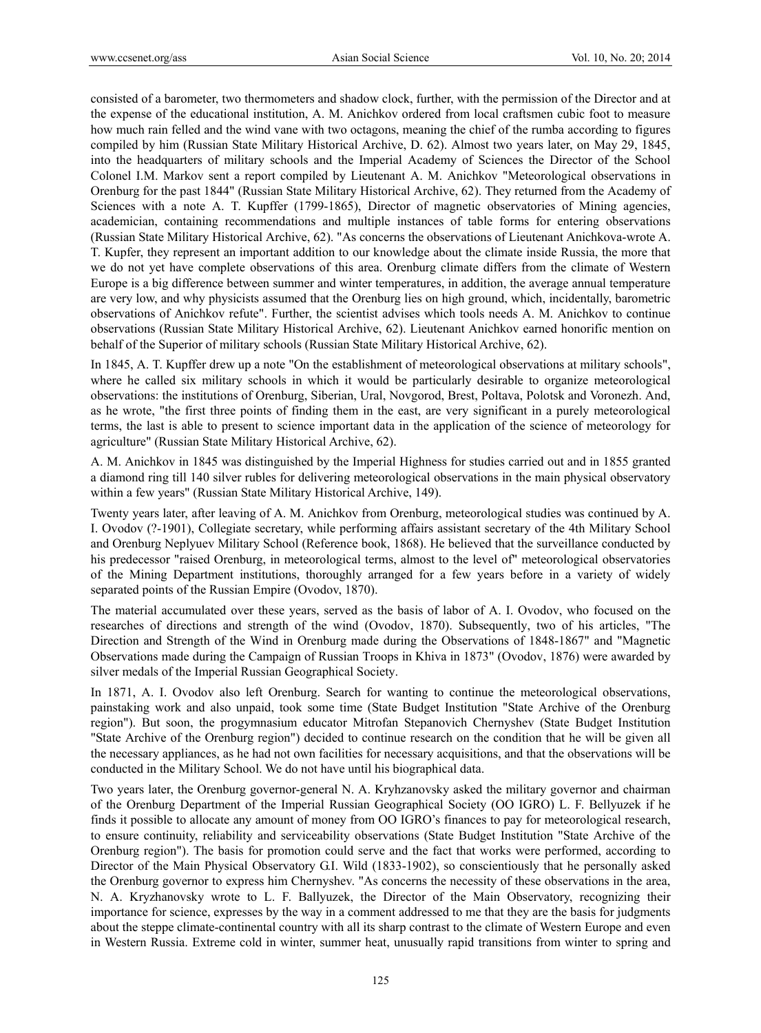consisted of a barometer, two thermometers and shadow clock, further, with the permission of the Director and at the expense of the educational institution, A. M. Anichkov ordered from local craftsmen cubic foot to measure how much rain felled and the wind vane with two octagons, meaning the chief of the rumba according to figures compiled by him (Russian State Military Historical Archive, D. 62). Almost two years later, on May 29, 1845, into the headquarters of military schools and the Imperial Academy of Sciences the Director of the School Colonel I.M. Markov sent a report compiled by Lieutenant A. M. Anichkov "Meteorological observations in Orenburg for the past 1844" (Russian State Military Historical Archive, 62). They returned from the Academy of Sciences with a note A. T. Kupffer (1799-1865), Director of magnetic observatories of Mining agencies, academician, containing recommendations and multiple instances of table forms for entering observations (Russian State Military Historical Archive, 62). "As concerns the observations of Lieutenant Anichkova-wrote A. T. Kupfer, they represent an important addition to our knowledge about the climate inside Russia, the more that we do not yet have complete observations of this area. Orenburg climate differs from the climate of Western Europe is a big difference between summer and winter temperatures, in addition, the average annual temperature are very low, and why physicists assumed that the Orenburg lies on high ground, which, incidentally, barometric observations of Anichkov refute". Further, the scientist advises which tools needs А. М. Anichkov to continue observations (Russian State Military Historical Archive, 62). Lieutenant Anichkov earned honorific mention on behalf of the Superior of military schools (Russian State Military Historical Archive, 62).

In 1845, A. T. Kupffer drew up a note "On the establishment of meteorological observations at military schools", where he called six military schools in which it would be particularly desirable to organize meteorological observations: the institutions of Orenburg, Siberian, Ural, Novgorod, Brest, Poltava, Polotsk and Voronezh. And, as he wrote, "the first three points of finding them in the east, are very significant in a purely meteorological terms, the last is able to present to science important data in the application of the science of meteorology for agriculture" (Russian State Military Historical Archive, 62).

A. M. Anichkov in 1845 was distinguished by the Imperial Highness for studies carried out and in 1855 granted a diamond ring till 140 silver rubles for delivering meteorological observations in the main physical observatory within a few years" (Russian State Military Historical Archive, 149).

Twenty years later, after leaving of A. M. Anichkov from Orenburg, meteorological studies was continued by A. I. Ovodov (?-1901), Collegiate secretary, while performing affairs assistant secretary of the 4th Military School and Orenburg Neplyuev Military School (Reference book, 1868). He believed that the surveillance conducted by his predecessor "raised Orenburg, in meteorological terms, almost to the level of" meteorological observatories of the Mining Department institutions, thoroughly arranged for a few years before in a variety of widely separated points of the Russian Empire (Ovodov, 1870).

The material accumulated over these years, served as the basis of labor of A. I. Ovodov, who focused on the researches of directions and strength of the wind (Ovodov, 1870). Subsequently, two of his articles, "The Direction and Strength of the Wind in Orenburg made during the Observations of 1848-1867" and "Magnetic Observations made during the Campaign of Russian Troops in Khiva in 1873" (Ovodov, 1876) were awarded by silver medals of the Imperial Russian Geographical Society.

In 1871, A. I. Ovodov also left Orenburg. Search for wanting to continue the meteorological observations, painstaking work and also unpaid, took some time (State Budget Institution "State Archive of the Orenburg region"). But soon, the progymnasium educator Mitrofan Stepanovich Chernyshev (State Budget Institution "State Archive of the Orenburg region") decided to continue research on the condition that he will be given all the necessary appliances, as he had not own facilities for necessary acquisitions, and that the observations will be conducted in the Military School. We do not have until his biographical data.

Two years later, the Orenburg governor-general N. A. Kryhzanovsky asked the military governor and chairman of the Orenburg Department of the Imperial Russian Geographical Society (OO IGRO) L. F. Bellyuzek if he finds it possible to allocate any amount of money from OO IGRO's finances to pay for meteorological research, to ensure continuity, reliability and serviceability observations (State Budget Institution "State Archive of the Orenburg region"). The basis for promotion could serve and the fact that works were performed, according to Director of the Main Physical Observatory G.I. Wild (1833-1902), so conscientiously that he personally asked the Orenburg governor to express him Chernyshev. "As concerns the necessity of these observations in the area, N. A. Kryzhanovsky wrote to L. F. Ballyuzek, the Director of the Main Observatory, recognizing their importance for science, expresses by the way in a comment addressed to me that they are the basis for judgments about the steppe climate-continental country with all its sharp contrast to the climate of Western Europe and even in Western Russia. Extreme cold in winter, summer heat, unusually rapid transitions from winter to spring and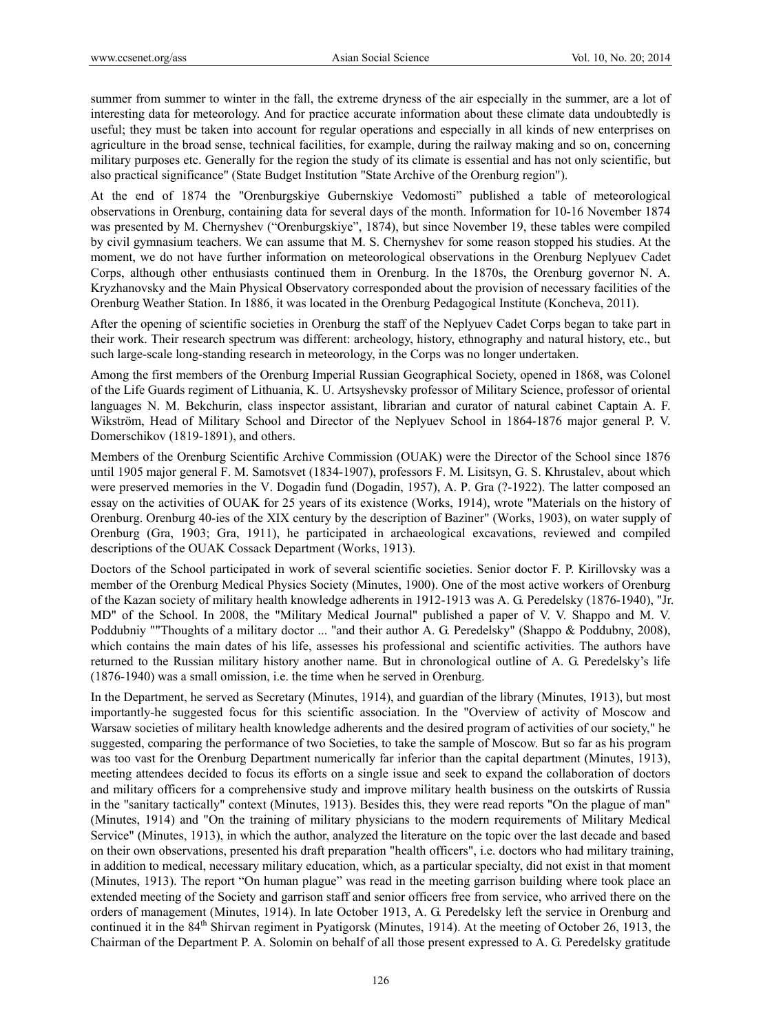summer from summer to winter in the fall, the extreme dryness of the air especially in the summer, are a lot of interesting data for meteorology. And for practice accurate information about these climate data undoubtedly is useful; they must be taken into account for regular operations and especially in all kinds of new enterprises on agriculture in the broad sense, technical facilities, for example, during the railway making and so on, concerning military purposes etc. Generally for the region the study of its climate is essential and has not only scientific, but also practical significance" (State Budget Institution "State Archive of the Orenburg region").

At the end of 1874 the "Orenburgskiye Gubernskiye Vedomosti" published a table of meteorological observations in Orenburg, containing data for several days of the month. Information for 10-16 November 1874 was presented by M. Chernyshev ("Orenburgskiye", 1874), but since November 19, these tables were compiled by civil gymnasium teachers. We can assume that M. S. Chernyshev for some reason stopped his studies. At the moment, we do not have further information on meteorological observations in the Orenburg Neplyuev Cadet Corps, although other enthusiasts continued them in Orenburg. In the 1870s, the Orenburg governor N. A. Kryzhanovsky and the Main Physical Observatory corresponded about the provision of necessary facilities of the Orenburg Weather Station. In 1886, it was located in the Orenburg Pedagogical Institute (Koncheva, 2011).

After the opening of scientific societies in Orenburg the staff of the Neplyuev Cadet Corps began to take part in their work. Their research spectrum was different: archeology, history, ethnography and natural history, etc., but such large-scale long-standing research in meteorology, in the Corps was no longer undertaken.

Among the first members of the Orenburg Imperial Russian Geographical Society, opened in 1868, was Colonel of the Life Guards regiment of Lithuania, K. U. Artsyshevsky professor of Military Science, professor of oriental languages N. M. Bekchurin, class inspector assistant, librarian and curator of natural cabinet Captain A. F. Wikström, Head of Military School and Director of the Neplyuev School in 1864-1876 major general P. V. Domerschikov (1819-1891), and others.

Members of the Orenburg Scientific Archive Commission (OUAK) were the Director of the School since 1876 until 1905 major general F. M. Samotsvet (1834-1907), professors F. М. Lisitsyn, G. S. Khrustalev, about which were preserved memories in the V. Dogadin fund (Dogadin, 1957), A. P. Gra (?-1922). The latter composed an essay on the activities of OUAK for 25 years of its existence (Works, 1914), wrote "Materials on the history of Orenburg. Orenburg 40-ies of the XIX century by the description of Baziner" (Works, 1903), on water supply of Orenburg (Gra, 1903; Gra, 1911), he participated in archaeological excavations, reviewed and compiled descriptions of the OUAK Cossack Department (Works, 1913).

Doctors of the School participated in work of several scientific societies. Senior doctor F. P. Kirillovsky was a member of the Orenburg Medical Physics Society (Minutes, 1900). One of the most active workers of Orenburg of the Kazan society of military health knowledge adherents in 1912-1913 was A. G. Peredelsky (1876-1940), "Jr. MD" of the School. In 2008, the "Military Medical Journal" published a paper of V. V. Shappo and M. V. Poddubniy ""Thoughts of a military doctor ... "and their author A. G. Peredelsky" (Shappo & Poddubny, 2008), which contains the main dates of his life, assesses his professional and scientific activities. The authors have returned to the Russian military history another name. But in chronological outline of A. G. Peredelsky's life (1876-1940) was a small omission, i.e. the time when he served in Orenburg.

In the Department, he served as Secretary (Minutes, 1914), and guardian of the library (Minutes, 1913), but most importantly-he suggested focus for this scientific association. In the "Overview of activity of Moscow and Warsaw societies of military health knowledge adherents and the desired program of activities of our society," he suggested, comparing the performance of two Societies, to take the sample of Moscow. But so far as his program was too vast for the Orenburg Department numerically far inferior than the capital department (Minutes, 1913), meeting attendees decided to focus its efforts on a single issue and seek to expand the collaboration of doctors and military officers for a comprehensive study and improve military health business on the outskirts of Russia in the "sanitary tactically" context (Minutes, 1913). Besides this, they were read reports "On the plague of man" (Minutes, 1914) and "On the training of military physicians to the modern requirements of Military Medical Service" (Minutes, 1913), in which the author, analyzed the literature on the topic over the last decade and based on their own observations, presented his draft preparation "health officers", i.e. doctors who had military training, in addition to medical, necessary military education, which, as a particular specialty, did not exist in that moment (Minutes, 1913). The report "On human plague" was read in the meeting garrison building where took place an extended meeting of the Society and garrison staff and senior officers free from service, who arrived there on the orders of management (Minutes, 1914). In late October 1913, A. G. Peredelsky left the service in Orenburg and continued it in the 84<sup>th</sup> Shirvan regiment in Pyatigorsk (Minutes, 1914). At the meeting of October 26, 1913, the Chairman of the Department P. A. Solomin on behalf of all those present expressed to A. G. Peredelsky gratitude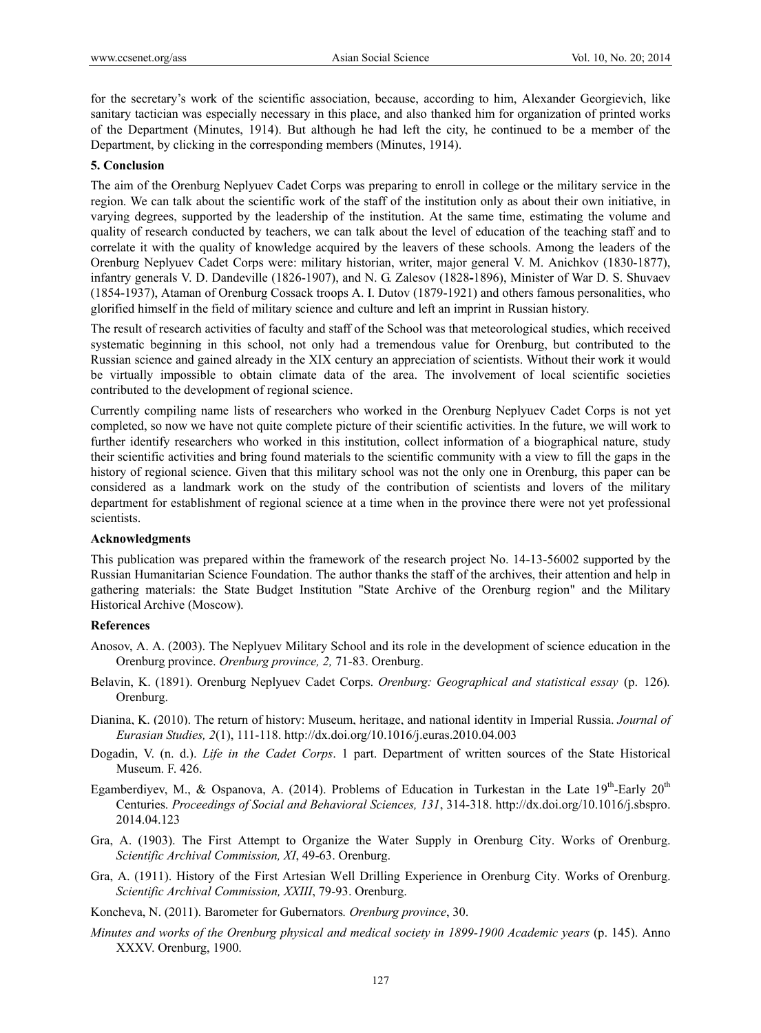for the secretary's work of the scientific association, because, according to him, Alexander Georgievich, like sanitary tactician was especially necessary in this place, and also thanked him for organization of printed works of the Department (Minutes, 1914). But although he had left the city, he continued to be a member of the Department, by clicking in the corresponding members (Minutes, 1914).

#### **5. Conclusion**

The aim of the Orenburg Neplyuev Cadet Corps was preparing to enroll in college or the military service in the region. We can talk about the scientific work of the staff of the institution only as about their own initiative, in varying degrees, supported by the leadership of the institution. At the same time, estimating the volume and quality of research conducted by teachers, we can talk about the level of education of the teaching staff and to correlate it with the quality of knowledge acquired by the leavers of these schools. Among the leaders of the Orenburg Neplyuev Cadet Corps were: military historian, writer, major general V. М. Anichkov (1830-1877), infantry generals V. D. Dandeville (1826-1907), and N. G. Zalesov (1828**-**1896), Minister of War D. S. Shuvaev (1854-1937), Ataman of Orenburg Cossack troops А. I. Dutov (1879-1921) and others famous personalities, who glorified himself in the field of military science and culture and left an imprint in Russian history.

The result of research activities of faculty and staff of the School was that meteorological studies, which received systematic beginning in this school, not only had a tremendous value for Orenburg, but contributed to the Russian science and gained already in the XIX century an appreciation of scientists. Without their work it would be virtually impossible to obtain climate data of the area. The involvement of local scientific societies contributed to the development of regional science.

Currently compiling name lists of researchers who worked in the Orenburg Neplyuev Cadet Corps is not yet completed, so now we have not quite complete picture of their scientific activities. In the future, we will work to further identify researchers who worked in this institution, collect information of a biographical nature, study their scientific activities and bring found materials to the scientific community with a view to fill the gaps in the history of regional science. Given that this military school was not the only one in Orenburg, this paper can be considered as a landmark work on the study of the contribution of scientists and lovers of the military department for establishment of regional science at a time when in the province there were not yet professional scientists.

#### **Acknowledgments**

This publication was prepared within the framework of the research project No. 14-13-56002 supported by the Russian Humanitarian Science Foundation. The author thanks the staff of the archives, their attention and help in gathering materials: the State Budget Institution "State Archive of the Orenburg region" and the Military Historical Archive (Moscow).

## **References**

- Anosov, А. А. (2003). The Neplyuev Military School and its role in the development of science education in the Orenburg province. *Orenburg province, 2,* 71-83. Orenburg.
- Belavin, K. (1891). Orenburg Neplyuev Cadet Corps. *Orenburg: Geographical and statistical essay* (p. 126)*.* Orenburg.
- Dianina, K. (2010). The return of history: Museum, heritage, and national identity in Imperial Russia. *Journal of Eurasian Studies, 2*(1), 111-118. http://dx.doi.org/10.1016/j.euras.2010.04.003
- Dogadin, V. (n. d.). *Life in the Cadet Corps*. 1 part. Department of written sources of the State Historical Museum. F. 426.
- Egamberdiyev, M., & Ospanova, A. (2014). Problems of Education in Turkestan in the Late 19<sup>th</sup>-Early 20<sup>th</sup> Centuries. *Proceedings of Social and Behavioral Sciences, 131*, 314-318. http://dx.doi.org/10.1016/j.sbspro. 2014.04.123
- Gra, А. (1903). The First Attempt to Organize the Water Supply in Orenburg City. Works of Orenburg. *Scientific Archival Commission, XI*, 49-63. Orenburg.
- Gra, А. (1911). History of the First Artesian Well Drilling Experience in Orenburg City. Works of Orenburg. *Scientific Archival Commission, XXIII*, 79-93. Orenburg.
- Koncheva, N. (2011). Barometer for Gubernators*. Orenburg province*, 30.
- *Minutes and works of the Orenburg physical and medical society in 1899-1900 Academic years* (p. 145). Anno XXXV. Orenburg, 1900.